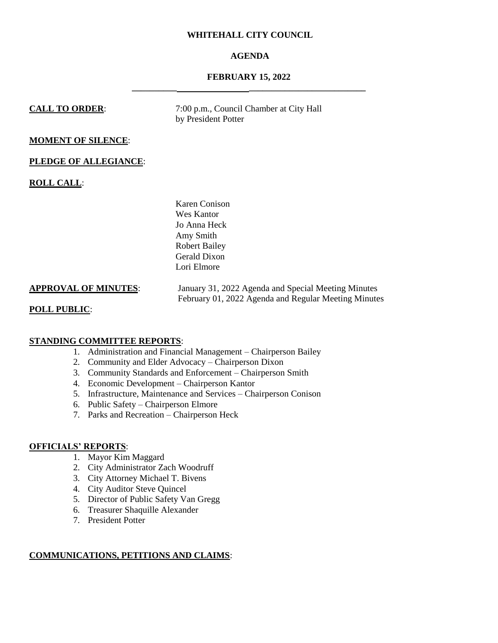### **WHITEHALL CITY COUNCIL**

# **AGENDA**

# **FEBRUARY 15, 2022 \_\_\_\_\_\_\_\_\_\_ \_\_\_\_\_\_\_\_\_\_\_\_\_\_\_\_\_\_\_\_\_\_\_\_\_\_**

**CALL TO ORDER:** 7:00 p.m., Council Chamber at City Hall by President Potter

#### **MOMENT OF SILENCE**:

#### **PLEDGE OF ALLEGIANCE**:

**ROLL CALL**:

Karen Conison Wes Kantor Jo Anna Heck Amy Smith Robert Bailey Gerald Dixon Lori Elmore

**APPROVAL OF MINUTES**: January 31, 2022 Agenda and Special Meeting Minutes February 01, 2022 Agenda and Regular Meeting Minutes

#### **POLL PUBLIC**:

#### **STANDING COMMITTEE REPORTS**:

- 1. Administration and Financial Management Chairperson Bailey
- 2. Community and Elder Advocacy Chairperson Dixon
- 3. Community Standards and Enforcement Chairperson Smith
- 4. Economic Development Chairperson Kantor
- 5. Infrastructure, Maintenance and Services Chairperson Conison
- 6. Public Safety Chairperson Elmore
- 7. Parks and Recreation Chairperson Heck

### **OFFICIALS' REPORTS**:

- 1. Mayor Kim Maggard
- 2. City Administrator Zach Woodruff
- 3. City Attorney Michael T. Bivens
- 4. City Auditor Steve Quincel
- 5. Director of Public Safety Van Gregg
- 6. Treasurer Shaquille Alexander
- 7. President Potter

### **COMMUNICATIONS, PETITIONS AND CLAIMS**: